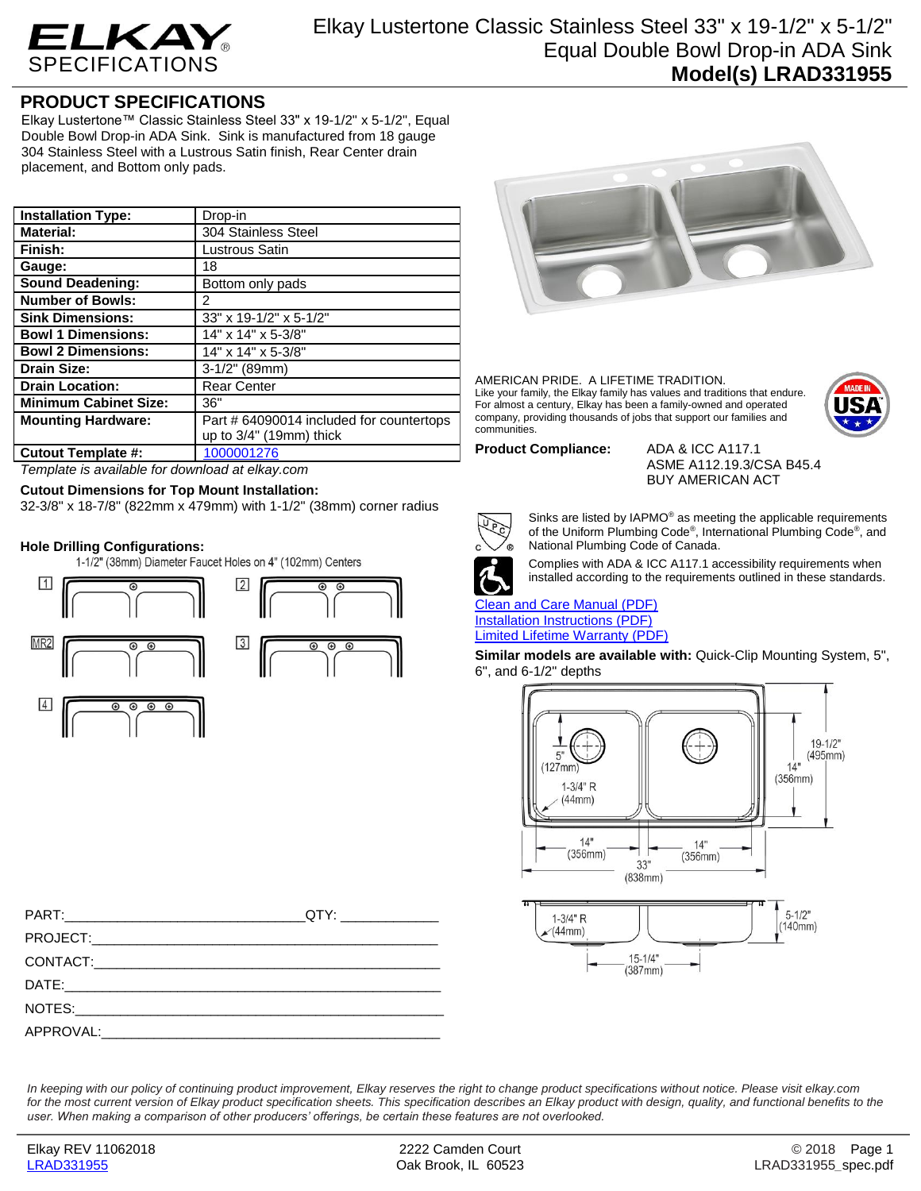

## **PRODUCT SPECIFICATIONS**

Elkay Lustertone™ Classic Stainless Steel 33" x 19-1/2" x 5-1/2", Equal Double Bowl Drop-in ADA Sink. Sink is manufactured from 18 gauge 304 Stainless Steel with a Lustrous Satin finish, Rear Center drain placement, and Bottom only pads.

| <b>Installation Type:</b>    | Drop-in                                  |
|------------------------------|------------------------------------------|
| <b>Material:</b>             | 304 Stainless Steel                      |
| Finish:                      | Lustrous Satin                           |
| Gauge:                       | 18                                       |
| <b>Sound Deadening:</b>      | Bottom only pads                         |
| <b>Number of Bowls:</b>      | 2                                        |
| <b>Sink Dimensions:</b>      | 33" x 19-1/2" x 5-1/2"                   |
| <b>Bowl 1 Dimensions:</b>    | 14" x 14" x 5-3/8"                       |
| <b>Bowl 2 Dimensions:</b>    | 14" x 14" x 5-3/8"                       |
| <b>Drain Size:</b>           | $3-1/2"$ (89mm)                          |
| <b>Drain Location:</b>       | <b>Rear Center</b>                       |
| <b>Minimum Cabinet Size:</b> | 36"                                      |
| <b>Mounting Hardware:</b>    | Part # 64090014 included for countertops |
|                              | up to $3/4$ " (19mm) thick               |
| <b>Cutout Template #:</b>    | 1000001276                               |

*Template is available for download at elkay.com*

**Cutout Dimensions for Top Mount Installation:**

32-3/8" x 18-7/8" (822mm x 479mm) with 1-1/2" (38mm) corner radius

**Hole Drilling Configurations:**







AMERICAN PRIDE. A LIFETIME TRADITION. Like your family, the Elkay family has values and traditions that endure. For almost a century, Elkay has been a family-owned and operated company, providing thousands of jobs that support our families and communities.



**Product Compliance:** ADA & ICC A117.1

ASME A112.19.3/CSA B45.4 BUY AMERICAN ACT



Sinks are listed by IAPMO® as meeting the applicable requirements of the Uniform Plumbing Code® , International Plumbing Code® , and National Plumbing Code of Canada.



Complies with ADA & ICC A117.1 accessibility requirements when installed according to the requirements outlined in these standards.

[Clean and Care Manual \(PDF\)](http://www.elkay.com/wcsstore/lkdocs/care-cleaning-install-warranty-sheets/residential%20and%20commercial%20care%20%20cleaning.pdf) [Installation Instructions \(PDF\)](http://www.elkay.com/wcsstore/lkdocs/care-cleaning-install-warranty-sheets/74180147.pdf) [Limited Lifetime Warranty](http://www.elkay.com/wcsstore/lkdocs/care-cleaning-install-warranty-sheets/residential%20sinks%20warranty.pdf) (PDF)

**Similar models are available with:** Quick-Clip Mounting System, 5", 6", and 6-1/2" depths



*In keeping with our policy of continuing product improvement, Elkay reserves the right to change product specifications without notice. Please visit elkay.com for the most current version of Elkay product specification sheets. This specification describes an Elkay product with design, quality, and functional benefits to the user. When making a comparison of other producers' offerings, be certain these features are not overlooked.*